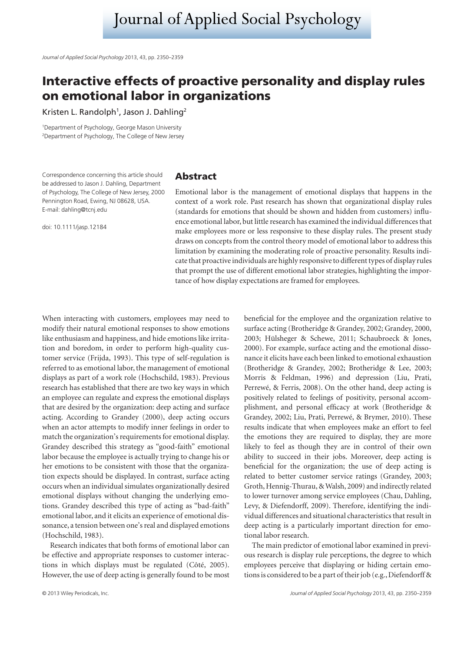# **Interactive effects of proactive personality and display rules on emotional labor in organizations**

Kristen L. Randolph<sup>1</sup>, Jason J. Dahling<sup>2</sup>

1 Department of Psychology, George Mason University 2 Department of Psychology, The College of New Jersey

Correspondence concerning this article should be addressed to Jason J. Dahling, Department of Psychology, The College of New Jersey, 2000 Pennington Road, Ewing, NJ 08628, USA. E-mail: dahling@tcnj.edu

doi: 10.1111/jasp.12184

## **Abstract**

Emotional labor is the management of emotional displays that happens in the context of a work role. Past research has shown that organizational display rules (standards for emotions that should be shown and hidden from customers) influence emotional labor, but little research has examined the individual differences that make employees more or less responsive to these display rules. The present study draws on concepts from the control theory model of emotional labor to address this limitation by examining the moderating role of proactive personality. Results indicate that proactive individuals are highly responsive to different types of display rules that prompt the use of different emotional labor strategies, highlighting the importance of how display expectations are framed for employees.

When interacting with customers, employees may need to modify their natural emotional responses to show emotions like enthusiasm and happiness, and hide emotions like irritation and boredom, in order to perform high-quality customer service (Frijda, 1993). This type of self-regulation is referred to as emotional labor, the management of emotional displays as part of a work role (Hochschild, 1983). Previous research has established that there are two key ways in which an employee can regulate and express the emotional displays that are desired by the organization: deep acting and surface acting. According to Grandey (2000), deep acting occurs when an actor attempts to modify inner feelings in order to match the organization's requirements for emotional display. Grandey described this strategy as "good-faith" emotional labor because the employee is actually trying to change his or her emotions to be consistent with those that the organization expects should be displayed. In contrast, surface acting occurs when an individual simulates organizationally desired emotional displays without changing the underlying emotions. Grandey described this type of acting as "bad-faith" emotional labor, and it elicits an experience of emotional dissonance, a tension between one's real and displayed emotions (Hochschild, 1983).

Research indicates that both forms of emotional labor can be effective and appropriate responses to customer interactions in which displays must be regulated (Côté, 2005). However, the use of deep acting is generally found to be most

beneficial for the employee and the organization relative to surface acting (Brotheridge & Grandey, 2002; Grandey, 2000, 2003; Hülsheger & Schewe, 2011; Schaubroeck & Jones, 2000). For example, surface acting and the emotional dissonance it elicits have each been linked to emotional exhaustion (Brotheridge & Grandey, 2002; Brotheridge & Lee, 2003; Morris & Feldman, 1996) and depression (Liu, Prati, Perrewé, & Ferris, 2008). On the other hand, deep acting is positively related to feelings of positivity, personal accomplishment, and personal efficacy at work (Brotheridge & Grandey, 2002; Liu, Prati, Perrewé, & Brymer, 2010). These results indicate that when employees make an effort to feel the emotions they are required to display, they are more likely to feel as though they are in control of their own ability to succeed in their jobs. Moreover, deep acting is beneficial for the organization; the use of deep acting is related to better customer service ratings (Grandey, 2003; Groth, Hennig-Thurau, & Walsh, 2009) and indirectly related to lower turnover among service employees (Chau, Dahling, Levy, & Diefendorff, 2009). Therefore, identifying the individual differences and situational characteristics that result in deep acting is a particularly important direction for emotional labor research.

The main predictor of emotional labor examined in previous research is display rule perceptions, the degree to which employees perceive that displaying or hiding certain emotions is considered to be a part of their job (e.g., Diefendorff &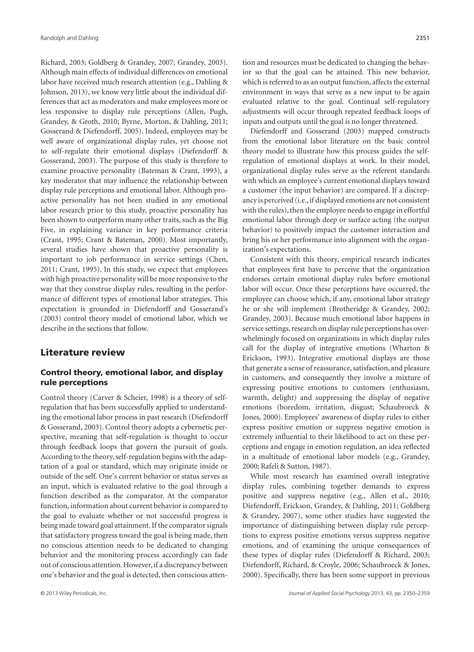Richard, 2003; Goldberg & Grandey, 2007; Grandey, 2003). Although main effects of individual differences on emotional labor have received much research attention (e.g., Dahling & Johnson, 2013), we know very little about the individual differences that act as moderators and make employees more or less responsive to display rule perceptions (Allen, Pugh, Grandey, & Groth, 2010; Byrne, Morton, & Dahling, 2011; Gosserand & Diefendorff, 2005). Indeed, employees may be well aware of organizational display rules, yet choose not to self-regulate their emotional displays (Diefendorff & Gosserand, 2003). The purpose of this study is therefore to examine proactive personality (Bateman & Crant, 1993), a key moderator that may influence the relationship between display rule perceptions and emotional labor. Although proactive personality has not been studied in any emotional labor research prior to this study, proactive personality has been shown to outperform many other traits, such as the Big Five, in explaining variance in key performance criteria (Crant, 1995; Crant & Bateman, 2000). Most importantly, several studies have shown that proactive personality is important to job performance in service settings (Chen, 2011; Crant, 1995). In this study, we expect that employees with high proactive personality will be more responsive to the way that they construe display rules, resulting in the performance of different types of emotional labor strategies. This expectation is grounded in Diefendorff and Gosserand's (2003) control theory model of emotional labor, which we describe in the sections that follow.

## **Literature review**

## **Control theory, emotional labor, and display rule perceptions**

Control theory (Carver & Scheier, 1998) is a theory of selfregulation that has been successfully applied to understanding the emotional labor process in past research (Diefendorff & Gosserand, 2003). Control theory adopts a cybernetic perspective, meaning that self-regulation is thought to occur through feedback loops that govern the pursuit of goals. According to the theory, self-regulation begins with the adaptation of a goal or standard, which may originate inside or outside of the self. One's current behavior or status serves as an input, which is evaluated relative to the goal through a function described as the comparator. At the comparator function, information about current behavior is compared to the goal to evaluate whether or not successful progress is being made toward goal attainment. If the comparator signals that satisfactory progress toward the goal is being made, then no conscious attention needs to be dedicated to changing behavior and the monitoring process accordingly can fade out of conscious attention. However, if a discrepancy between one's behavior and the goal is detected, then conscious atten-

Diefendorff and Gosserand (2003) mapped constructs from the emotional labor literature on the basic control theory model to illustrate how this process guides the selfregulation of emotional displays at work. In their model, organizational display rules serve as the referent standards with which an employee's current emotional displays toward a customer (the input behavior) are compared. If a discrepancy is perceived (i.e.,if displayed emotions are not consistent with the rules), then the employee needs to engage in effortful emotional labor through deep or surface acting (the output behavior) to positively impact the customer interaction and bring his or her performance into alignment with the organization's expectations.

Consistent with this theory, empirical research indicates that employees first have to perceive that the organization endorses certain emotional display rules before emotional labor will occur. Once these perceptions have occurred, the employee can choose which, if any, emotional labor strategy he or she will implement (Brotheridge & Grandey, 2002; Grandey, 2003). Because much emotional labor happens in service settings, research on display rule perceptions has overwhelmingly focused on organizations in which display rules call for the display of integrative emotions (Wharton & Erickson, 1993). Integrative emotional displays are those that generate a sense of reassurance, satisfaction, and pleasure in customers, and consequently they involve a mixture of expressing positive emotions to customers (enthusiasm, warmth, delight) and suppressing the display of negative emotions (boredom, irritation, disgust; Schaubroeck & Jones, 2000). Employees' awareness of display rules to either express positive emotion or suppress negative emotion is extremely influential to their likelihood to act on these perceptions and engage in emotion regulation, an idea reflected in a multitude of emotional labor models (e.g., Grandey, 2000; Rafeli & Sutton, 1987).

While most research has examined overall integrative display rules, combining together demands to express positive and suppress negative (e.g., Allen et al., 2010; Diefendorff, Erickson, Grandey, & Dahling, 2011; Goldberg & Grandey, 2007), some other studies have suggested the importance of distinguishing between display rule perceptions to express positive emotions versus suppress negative emotions, and of examining the unique consequences of these types of display rules (Diefendorff & Richard, 2003; Diefendorff, Richard, & Croyle, 2006; Schaubroeck & Jones, 2000). Specifically, there has been some support in previous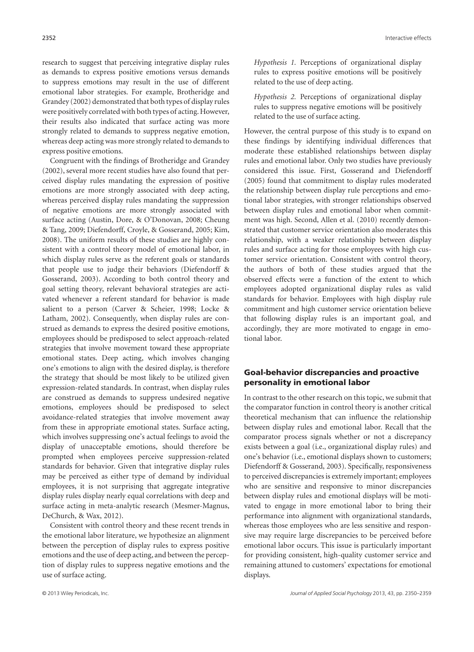research to suggest that perceiving integrative display rules as demands to express positive emotions versus demands to suppress emotions may result in the use of different emotional labor strategies. For example, Brotheridge and Grandey (2002) demonstrated that both types of display rules were positively correlated with both types of acting. However, their results also indicated that surface acting was more strongly related to demands to suppress negative emotion, whereas deep acting was more strongly related to demands to express positive emotions.

Congruent with the findings of Brotheridge and Grandey (2002), several more recent studies have also found that perceived display rules mandating the expression of positive emotions are more strongly associated with deep acting, whereas perceived display rules mandating the suppression of negative emotions are more strongly associated with surface acting (Austin, Dore, & O'Donovan, 2008; Cheung & Tang, 2009; Diefendorff, Croyle, & Gosserand, 2005; Kim, 2008). The uniform results of these studies are highly consistent with a control theory model of emotional labor, in which display rules serve as the referent goals or standards that people use to judge their behaviors (Diefendorff & Gosserand, 2003). According to both control theory and goal setting theory, relevant behavioral strategies are activated whenever a referent standard for behavior is made salient to a person (Carver & Scheier, 1998; Locke & Latham, 2002). Consequently, when display rules are construed as demands to express the desired positive emotions, employees should be predisposed to select approach-related strategies that involve movement toward these appropriate emotional states. Deep acting, which involves changing one's emotions to align with the desired display, is therefore the strategy that should be most likely to be utilized given expression-related standards. In contrast, when display rules are construed as demands to suppress undesired negative emotions, employees should be predisposed to select avoidance-related strategies that involve movement away from these in appropriate emotional states. Surface acting, which involves suppressing one's actual feelings to avoid the display of unacceptable emotions, should therefore be prompted when employees perceive suppression-related standards for behavior. Given that integrative display rules may be perceived as either type of demand by individual employees, it is not surprising that aggregate integrative display rules display nearly equal correlations with deep and surface acting in meta-analytic research (Mesmer-Magnus, DeChurch, & Wax, 2012).

Consistent with control theory and these recent trends in the emotional labor literature, we hypothesize an alignment between the perception of display rules to express positive emotions and the use of deep acting, and between the perception of display rules to suppress negative emotions and the use of surface acting.

*Hypothesis 1.* Perceptions of organizational display rules to express positive emotions will be positively related to the use of deep acting.

*Hypothesis 2.* Perceptions of organizational display rules to suppress negative emotions will be positively related to the use of surface acting.

However, the central purpose of this study is to expand on these findings by identifying individual differences that moderate these established relationships between display rules and emotional labor. Only two studies have previously considered this issue. First, Gosserand and Diefendorff (2005) found that commitment to display rules moderated the relationship between display rule perceptions and emotional labor strategies, with stronger relationships observed between display rules and emotional labor when commitment was high. Second, Allen et al. (2010) recently demonstrated that customer service orientation also moderates this relationship, with a weaker relationship between display rules and surface acting for those employees with high customer service orientation. Consistent with control theory, the authors of both of these studies argued that the observed effects were a function of the extent to which employees adopted organizational display rules as valid standards for behavior. Employees with high display rule commitment and high customer service orientation believe that following display rules is an important goal, and accordingly, they are more motivated to engage in emotional labor.

### **Goal-behavior discrepancies and proactive personality in emotional labor**

In contrast to the other research on this topic, we submit that the comparator function in control theory is another critical theoretical mechanism that can influence the relationship between display rules and emotional labor. Recall that the comparator process signals whether or not a discrepancy exists between a goal (i.e., organizational display rules) and one's behavior (i.e., emotional displays shown to customers; Diefendorff & Gosserand, 2003). Specifically, responsiveness to perceived discrepancies is extremely important; employees who are sensitive and responsive to minor discrepancies between display rules and emotional displays will be motivated to engage in more emotional labor to bring their performance into alignment with organizational standards, whereas those employees who are less sensitive and responsive may require large discrepancies to be perceived before emotional labor occurs. This issue is particularly important for providing consistent, high-quality customer service and remaining attuned to customers' expectations for emotional displays.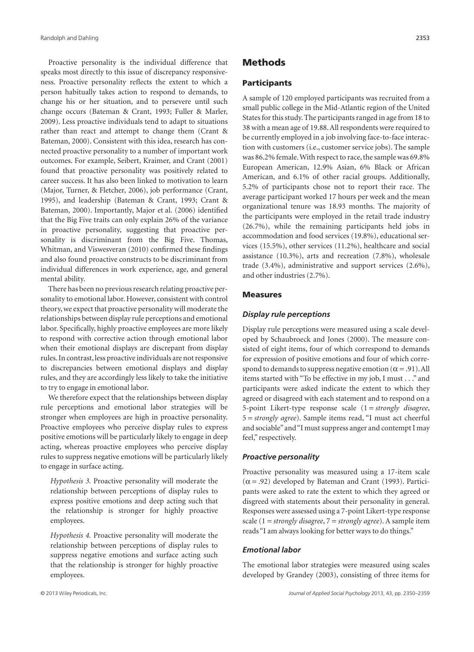Proactive personality is the individual difference that speaks most directly to this issue of discrepancy responsiveness. Proactive personality reflects the extent to which a person habitually takes action to respond to demands, to change his or her situation, and to persevere until such change occurs (Bateman & Crant, 1993; Fuller & Marler, 2009). Less proactive individuals tend to adapt to situations rather than react and attempt to change them (Crant & Bateman, 2000). Consistent with this idea, research has connected proactive personality to a number of important work outcomes. For example, Seibert, Kraimer, and Crant (2001) found that proactive personality was positively related to career success. It has also been linked to motivation to learn (Major, Turner, & Fletcher, 2006), job performance (Crant, 1995), and leadership (Bateman & Crant, 1993; Crant & Bateman, 2000). Importantly, Major et al. (2006) identified that the Big Five traits can only explain 26% of the variance in proactive personality, suggesting that proactive personality is discriminant from the Big Five. Thomas, Whitman, and Viswesveran (2010) confirmed these findings and also found proactive constructs to be discriminant from individual differences in work experience, age, and general mental ability.

There has been no previous research relating proactive personality to emotional labor. However, consistent with control theory,we expect that proactive personality will moderate the relationships between display rule perceptions and emotional labor. Specifically, highly proactive employees are more likely to respond with corrective action through emotional labor when their emotional displays are discrepant from display rules. In contrast, less proactive individuals are not responsive to discrepancies between emotional displays and display rules, and they are accordingly less likely to take the initiative to try to engage in emotional labor.

We therefore expect that the relationships between display rule perceptions and emotional labor strategies will be stronger when employees are high in proactive personality. Proactive employees who perceive display rules to express positive emotions will be particularly likely to engage in deep acting, whereas proactive employees who perceive display rules to suppress negative emotions will be particularly likely to engage in surface acting.

*Hypothesis 3.* Proactive personality will moderate the relationship between perceptions of display rules to express positive emotions and deep acting such that the relationship is stronger for highly proactive employees.

*Hypothesis 4.* Proactive personality will moderate the relationship between perceptions of display rules to suppress negative emotions and surface acting such that the relationship is stronger for highly proactive employees.

## **Methods**

#### **Participants**

A sample of 120 employed participants was recruited from a small public college in the Mid-Atlantic region of the United States for this study. The participants ranged in age from 18 to 38 with a mean age of 19.88. All respondents were required to be currently employed in a job involving face-to-face interaction with customers (i.e., customer service jobs). The sample was 86.2% female.With respect to race, the sample was 69.8% European American, 12.9% Asian, 6% Black or African American, and 6.1% of other racial groups. Additionally, 5.2% of participants chose not to report their race. The average participant worked 17 hours per week and the mean organizational tenure was 18.93 months. The majority of the participants were employed in the retail trade industry (26.7%), while the remaining participants held jobs in accommodation and food services (19.8%), educational services (15.5%), other services (11.2%), healthcare and social assistance (10.3%), arts and recreation (7.8%), wholesale trade (3.4%), administrative and support services (2.6%), and other industries (2.7%).

#### **Measures**

#### *Display rule perceptions*

Display rule perceptions were measured using a scale developed by Schaubroeck and Jones (2000). The measure consisted of eight items, four of which correspond to demands for expression of positive emotions and four of which correspond to demands to suppress negative emotion ( $\alpha$  = .91). All items started with "To be effective in my job, I must . . ." and participants were asked indicate the extent to which they agreed or disagreed with each statement and to respond on a 5-point Likert-type response scale (1 = *strongly disagree*, 5 = *strongly agree*). Sample items read, "I must act cheerful and sociable" and "I must suppress anger and contempt I may feel," respectively.

#### *Proactive personality*

Proactive personality was measured using a 17-item scale  $(\alpha = .92)$  developed by Bateman and Crant (1993). Participants were asked to rate the extent to which they agreed or disgreed with statements about their personality in general. Responses were assessed using a 7-point Likert-type response scale (1 = *strongly disagree*, 7 = *strongly agree*). A sample item reads "I am always looking for better ways to do things."

#### *Emotional labor*

The emotional labor strategies were measured using scales developed by Grandey (2003), consisting of three items for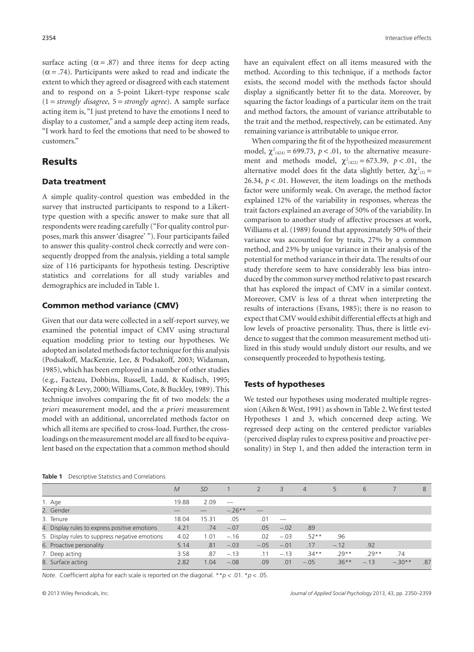surface acting  $(\alpha = .87)$  and three items for deep acting  $(\alpha = .74)$ . Participants were asked to read and indicate the extent to which they agreed or disagreed with each statement and to respond on a 5-point Likert-type response scale (1 = *strongly disagree*, 5 = *strongly agree*). A sample surface acting item is, "I just pretend to have the emotions I need to display to a customer," and a sample deep acting item reads, "I work hard to feel the emotions that need to be showed to customers."

## **Results**

#### **Data treatment**

A simple quality-control question was embedded in the survey that instructed participants to respond to a Likerttype question with a specific answer to make sure that all respondents were reading carefully ("For quality control purposes, mark this answer 'disagree' "). Four participants failed to answer this quality-control check correctly and were consequently dropped from the analysis, yielding a total sample size of 116 participants for hypothesis testing. Descriptive statistics and correlations for all study variables and demographics are included in Table 1.

#### **Common method variance (CMV)**

Given that our data were collected in a self-report survey, we examined the potential impact of CMV using structural equation modeling prior to testing our hypotheses. We adopted an isolated methods factor technique for this analysis (Podsakoff, MacKenzie, Lee, & Podsakoff, 2003; Widaman, 1985), which has been employed in a number of other studies (e.g., Facteau, Dobbins, Russell, Ladd, & Kudisch, 1995; Keeping & Levy, 2000; Williams, Cote, & Buckley, 1989). This technique involves comparing the fit of two models: the *a priori* measurement model, and the *a priori* measurement model with an additional, uncorrelated methods factor on which all items are specified to cross-load. Further, the crossloadings on the measurement model are all fixed to be equivalent based on the expectation that a common method should

**Table 1** Descriptive Statistics and Correlations

have an equivalent effect on all items measured with the method. According to this technique, if a methods factor exists, the second model with the methods factor should display a significantly better fit to the data. Moreover, by squaring the factor loadings of a particular item on the trait and method factors, the amount of variance attributable to the trait and the method, respectively, can be estimated. Any remaining variance is attributable to unique error.

When comparing the fit of the hypothesized measurement model,  $\chi^2_{(424)} = 699.73$ ,  $p < .01$ , to the alternative measurement and methods model,  $\chi^2_{(422)} = 673.39$ ,  $p < .01$ , the alternative model does fit the data slightly better,  $\Delta \chi^2_{(2)} =$ 26.34,  $p < 0.01$ . However, the item loadings on the methods factor were uniformly weak. On average, the method factor explained 12% of the variability in responses, whereas the trait factors explained an average of 50% of the variability. In comparison to another study of affective processes at work, Williams et al. (1989) found that approximately 50% of their variance was accounted for by traits, 27% by a common method, and 23% by unique variance in their analysis of the potential for method variance in their data. The results of our study therefore seem to have considerably less bias introduced by the common survey method relative to past research that has explored the impact of CMV in a similar context. Moreover, CMV is less of a threat when interpreting the results of interactions (Evans, 1985); there is no reason to expect that CMV would exhibit differential effects at high and low levels of proactive personality. Thus, there is little evidence to suggest that the common measurement method utilized in this study would unduly distort our results, and we consequently proceeded to hypothesis testing.

#### **Tests of hypotheses**

We tested our hypotheses using moderated multiple regression (Aiken & West, 1991) as shown in Table 2.We first tested Hypotheses 1 and 3, which concerned deep acting. We regressed deep acting on the centered predictor variables (perceived display rules to express positive and proactive personality) in Step 1, and then added the interaction term in

|                                                | $\overline{M}$ | <i>SD</i> |          |        | 3      | $\overline{4}$ | 5        | 6      |          | 8   |
|------------------------------------------------|----------------|-----------|----------|--------|--------|----------------|----------|--------|----------|-----|
| 1. Age                                         | 19.88          | 2.09      |          |        |        |                |          |        |          |     |
| 2. Gender                                      |                |           | $-.26**$ |        |        |                |          |        |          |     |
| 3. Tenure                                      | 18.04          | 15.31     | .05      | .01    |        |                |          |        |          |     |
| 4. Display rules to express positive emotions  | 4.21           | .74       | $-.07$   | .05    | $-.02$ | .89            |          |        |          |     |
| 5. Display rules to suppress negative emotions | 4.02           | 1.01      | $-.16$   | .02    | $-.03$ | $.52**$        | .96      |        |          |     |
| 6. Proactive personality                       | 5.14           | .81       | $-.03$   | $-.05$ | $-.01$ | .17            | $-.12$   | .92    |          |     |
| 7. Deep acting                                 | 3.58           | .87       | $-.13$   | .11    | $-.13$ | $.34**$        | $.29**$  | $29**$ | .74      |     |
| 8. Surface acting                              | 2.82           | 1.04      | $-.08$   | .09    | .01    | $-.05$         | $.36***$ | $-.13$ | $-.30**$ | .87 |
|                                                |                |           |          |        |        |                |          |        |          |     |

*Note*. Coefficient alpha for each scale is reported on the diagonal. \*\**p* < .01. \**p* < .05.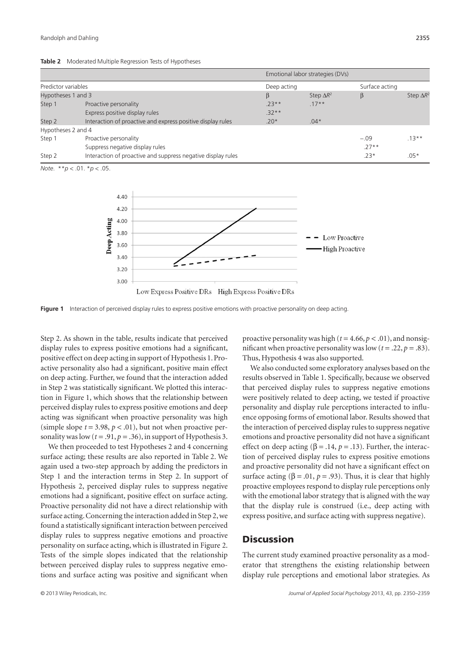|  | Table 2 Moderated Multiple Regression Tests of Hypotheses |  |  |  |  |
|--|-----------------------------------------------------------|--|--|--|--|
|--|-----------------------------------------------------------|--|--|--|--|

|                     |                                                              |             | Emotional labor strategies (DVs) |                |                   |  |  |
|---------------------|--------------------------------------------------------------|-------------|----------------------------------|----------------|-------------------|--|--|
| Predictor variables |                                                              | Deep acting |                                  | Surface acting |                   |  |  |
| Hypotheses 1 and 3  |                                                              | β           | Step $\Delta R^2$                | β              | Step $\Delta R^2$ |  |  |
| Step 1              | Proactive personality                                        | $73***$     | $17**$                           |                |                   |  |  |
|                     | Express positive display rules                               | $.32**$     |                                  |                |                   |  |  |
| Step 2              | Interaction of proactive and express positive display rules  | $.20*$      | $.04*$                           |                |                   |  |  |
| Hypotheses 2 and 4  |                                                              |             |                                  |                |                   |  |  |
| Step 1              | Proactive personality                                        |             |                                  | $-.09$         | $.13***$          |  |  |
|                     | Suppress negative display rules                              |             |                                  | $.27**$        |                   |  |  |
| Step 2              | Interaction of proactive and suppress negative display rules |             |                                  | $.23*$         | $.05*$            |  |  |

*Note*. \*\**p* < .01. \**p* < .05.



**Figure 1** Interaction of perceived display rules to express positive emotions with proactive personality on deep acting.

Step 2. As shown in the table, results indicate that perceived display rules to express positive emotions had a significant, positive effect on deep acting in support of Hypothesis 1. Proactive personality also had a significant, positive main effect on deep acting. Further, we found that the interaction added in Step 2 was statistically significant. We plotted this interaction in Figure 1, which shows that the relationship between perceived display rules to express positive emotions and deep acting was significant when proactive personality was high (simple slope  $t = 3.98$ ,  $p < .01$ ), but not when proactive personality was low  $(t = .91, p = .36)$ , in support of Hypothesis 3.

We then proceeded to test Hypotheses 2 and 4 concerning surface acting; these results are also reported in Table 2. We again used a two-step approach by adding the predictors in Step 1 and the interaction terms in Step 2. In support of Hypothesis 2, perceived display rules to suppress negative emotions had a significant, positive effect on surface acting. Proactive personality did not have a direct relationship with surface acting. Concerning the interaction added in Step 2, we found a statistically significant interaction between perceived display rules to suppress negative emotions and proactive personality on surface acting, which is illustrated in Figure 2. Tests of the simple slopes indicated that the relationship between perceived display rules to suppress negative emotions and surface acting was positive and significant when

proactive personality was high ( $t = 4.66$ ,  $p < .01$ ), and nonsignificant when proactive personality was low  $(t = .22, p = .83)$ . Thus, Hypothesis 4 was also supported.

We also conducted some exploratory analyses based on the results observed in Table 1. Specifically, because we observed that perceived display rules to suppress negative emotions were positively related to deep acting, we tested if proactive personality and display rule perceptions interacted to influence opposing forms of emotional labor. Results showed that the interaction of perceived display rules to suppress negative emotions and proactive personality did not have a significant effect on deep acting ( $\beta$  = .14,  $p$  = .13). Further, the interaction of perceived display rules to express positive emotions and proactive personality did not have a significant effect on surface acting ( $\beta$  = .01,  $p$  = .93). Thus, it is clear that highly proactive employees respond to display rule perceptions only with the emotional labor strategy that is aligned with the way that the display rule is construed (i.e., deep acting with express positive, and surface acting with suppress negative).

## **Discussion**

The current study examined proactive personality as a moderator that strengthens the existing relationship between display rule perceptions and emotional labor strategies. As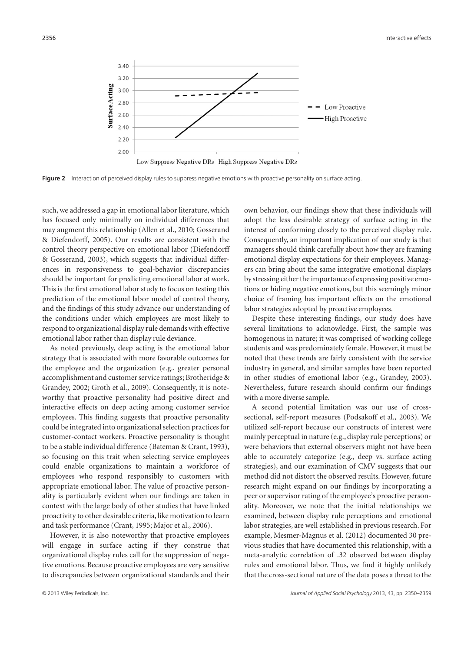

Figure 2 Interaction of perceived display rules to suppress negative emotions with proactive personality on surface acting.

such, we addressed a gap in emotional labor literature, which has focused only minimally on individual differences that may augment this relationship (Allen et al., 2010; Gosserand & Diefendorff, 2005). Our results are consistent with the control theory perspective on emotional labor (Diefendorff & Gosserand, 2003), which suggests that individual differences in responsiveness to goal-behavior discrepancies should be important for predicting emotional labor at work. This is the first emotional labor study to focus on testing this prediction of the emotional labor model of control theory, and the findings of this study advance our understanding of the conditions under which employees are most likely to respond to organizational display rule demands with effective emotional labor rather than display rule deviance.

As noted previously, deep acting is the emotional labor strategy that is associated with more favorable outcomes for the employee and the organization (e.g., greater personal accomplishment and customer service ratings; Brotheridge & Grandey, 2002; Groth et al., 2009). Consequently, it is noteworthy that proactive personality had positive direct and interactive effects on deep acting among customer service employees. This finding suggests that proactive personality could be integrated into organizational selection practices for customer-contact workers. Proactive personality is thought to be a stable individual difference (Bateman & Crant, 1993), so focusing on this trait when selecting service employees could enable organizations to maintain a workforce of employees who respond responsibly to customers with appropriate emotional labor. The value of proactive personality is particularly evident when our findings are taken in context with the large body of other studies that have linked proactivity to other desirable criteria, like motivation to learn and task performance (Crant, 1995; Major et al., 2006).

However, it is also noteworthy that proactive employees will engage in surface acting if they construe that organizational display rules call for the suppression of negative emotions. Because proactive employees are very sensitive to discrepancies between organizational standards and their

own behavior, our findings show that these individuals will adopt the less desirable strategy of surface acting in the interest of conforming closely to the perceived display rule. Consequently, an important implication of our study is that managers should think carefully about how they are framing emotional display expectations for their employees. Managers can bring about the same integrative emotional displays by stressing either the importance of expressing positive emotions or hiding negative emotions, but this seemingly minor choice of framing has important effects on the emotional labor strategies adopted by proactive employees.

Despite these interesting findings, our study does have several limitations to acknowledge. First, the sample was homogenous in nature; it was comprised of working college students and was predominately female. However, it must be noted that these trends are fairly consistent with the service industry in general, and similar samples have been reported in other studies of emotional labor (e.g., Grandey, 2003). Nevertheless, future research should confirm our findings with a more diverse sample.

A second potential limitation was our use of crosssectional, self-report measures (Podsakoff et al., 2003). We utilized self-report because our constructs of interest were mainly perceptual in nature (e.g., display rule perceptions) or were behaviors that external observers might not have been able to accurately categorize (e.g., deep vs. surface acting strategies), and our examination of CMV suggests that our method did not distort the observed results. However, future research might expand on our findings by incorporating a peer or supervisor rating of the employee's proactive personality. Moreover, we note that the initial relationships we examined, between display rule perceptions and emotional labor strategies, are well established in previous research. For example, Mesmer-Magnus et al. (2012) documented 30 previous studies that have documented this relationship, with a meta-analytic correlation of .32 observed between display rules and emotional labor. Thus, we find it highly unlikely that the cross-sectional nature of the data poses a threat to the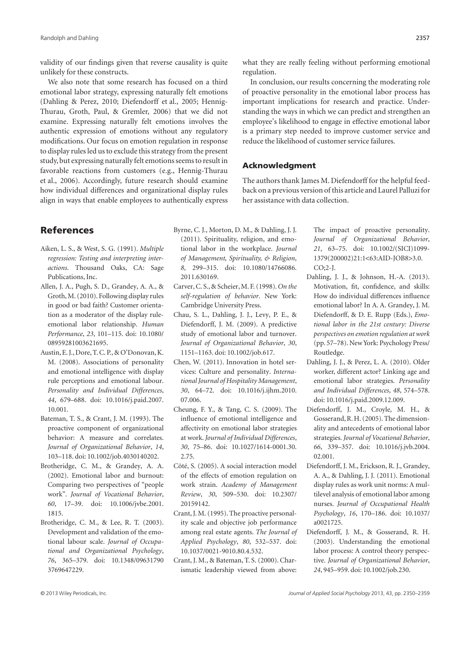validity of our findings given that reverse causality is quite unlikely for these constructs.

We also note that some research has focused on a third emotional labor strategy, expressing naturally felt emotions (Dahling & Perez, 2010; Diefendorff et al., 2005; Hennig-Thurau, Groth, Paul, & Gremler, 2006) that we did not examine. Expressing naturally felt emotions involves the authentic expression of emotions without any regulatory modifications. Our focus on emotion regulation in response to display rules led us to exclude this strategy from the present study, but expressing naturally felt emotions seems to result in favorable reactions from customers (e.g., Hennig-Thurau et al., 2006). Accordingly, future research should examine how individual differences and organizational display rules align in ways that enable employees to authentically express

## **References**

- Aiken, L. S., & West, S. G. (1991). *Multiple regression: Testing and interpreting interactions*. Thousand Oaks, CA: Sage Publications, Inc.
- Allen, J. A., Pugh, S. D., Grandey, A. A., & Groth,M. (2010). Following display rules in good or bad faith? Customer orientation as a moderator of the display ruleemotional labor relationship. *Human Performance*, *23*, 101–115. doi: 10.1080/ 08959281003621695.
- Austin, E. J., Dore, T. C. P., & O'Donovan, K. M. (2008). Associations of personality and emotional intelligence with display rule perceptions and emotional labour. *Personality and Individual Differences*, *44*, 679–688. doi: 10.1016/j.paid.2007. 10.001.
- Bateman, T. S., & Crant, J. M. (1993). The proactive component of organizational behavior: A measure and correlates. *Journal of Organizational Behavior*, *14*, 103–118. doi: 10.1002/job.4030140202.
- Brotheridge, C. M., & Grandey, A. A. (2002). Emotional labor and burnout: Comparing two perspectives of "people work". *Journal of Vocational Behavior*, *60*, 17–39. doi: 10.1006/jvbe.2001. 1815.
- Brotheridge, C. M., & Lee, R. T. (2003). Development and validation of the emotional labour scale. *Journal of Occupational and Organizational Psychology*, *76*, 365–379. doi: 10.1348/09631790 3769647229.
- Byrne, C. J., Morton, D. M., & Dahling, J. J. (2011). Spirituality, religion, and emotional labor in the workplace. *Journal of Management, Spirituality, & Religion*, *8*, 299–315. doi: 10.1080/14766086. 2011.630169.
- Carver, C. S., & Scheier,M. F. (1998).*On the self-regulation of behavior*. New York: Cambridge University Press.
- Chau, S. L., Dahling, J. J., Levy, P. E., & Diefendorff, J. M. (2009). A predictive study of emotional labor and turnover. *Journal of Organizational Behavior*, *30*, 1151–1163. doi: 10.1002/job.617.
- Chen, W. (2011). Innovation in hotel services: Culture and personality. *International Journal of Hospitality Management*, *30*, 64–72. doi: 10.1016/j.ijhm.2010. 07.006.
- Cheung, F. Y., & Tang, C. S. (2009). The influence of emotional intelligence and affectivity on emotional labor strategies at work. *Journal of Individual Differences*, *30*, 75–86. doi: 10.1027/1614-0001.30. 2.75.
- Côté, S. (2005). A social interaction model of the effects of emotion regulation on work strain. *Academy of Management Review*, *30*, 509–530. doi: 10.2307/ 20159142.
- Crant, J. M. (1995). The proactive personality scale and objective job performance among real estate agents. *The Journal of Applied Psychology*, *80*, 532–537. doi: 10.1037/0021-9010.80.4.532.
- Crant, J. M., & Bateman, T. S. (2000). Charismatic leadership viewed from above:

The impact of proactive personality. *Journal of Organizational Behavior*, *21*, 63–75. doi: 10.1002/(SICI)1099- 1379(200002)21:1<63:AID-JOB8>3.0.

- CO;2-J.
	- Dahling, J. J., & Johnson, H.-A. (2013). Motivation, fit, confidence, and skills: How do individual differences influence emotional labor? In A. A. Grandey, J. M. Diefendorff, & D. E. Rupp (Eds.), *Emotional labor in the 21st century: Diverse perspectives on emotion regulation at work* (pp. 57–78). New York: Psychology Press/ Routledge.
	- Dahling, J. J., & Perez, L. A. (2010). Older worker, different actor? Linking age and emotional labor strategies. *Personality and Individual Differences*, *48*, 574–578. doi: 10.1016/j.paid.2009.12.009.
	- Diefendorff, J. M., Croyle, M. H., & Gosserand, R. H. (2005). The dimensionality and antecedents of emotional labor strategies. *Journal of Vocational Behavior*, *66*, 339–357. doi: 10.1016/j.jvb.2004. 02.001.
	- Diefendorff, J. M., Erickson, R. J., Grandey, A. A., & Dahling, J. J. (2011). Emotional display rules as work unit norms: A multilevel analysis of emotional labor among nurses. *Journal of Occupational Health Psychology*, *16*, 170–186. doi: 10.1037/ a0021725.
	- Diefendorff, J. M., & Gosserand, R. H. (2003). Understanding the emotional labor process: A control theory perspective. *Journal of Organizational Behavior*, *24*, 945–959. doi: 10.1002/job.230.

what they are really feeling without performing emotional regulation.

In conclusion, our results concerning the moderating role of proactive personality in the emotional labor process has important implications for research and practice. Understanding the ways in which we can predict and strengthen an employee's likelihood to engage in effective emotional labor is a primary step needed to improve customer service and reduce the likelihood of customer service failures.

#### **Acknowledgment**

The authors thank James M. Diefendorff for the helpful feedback on a previous version of this article and Laurel Palluzi for her assistance with data collection.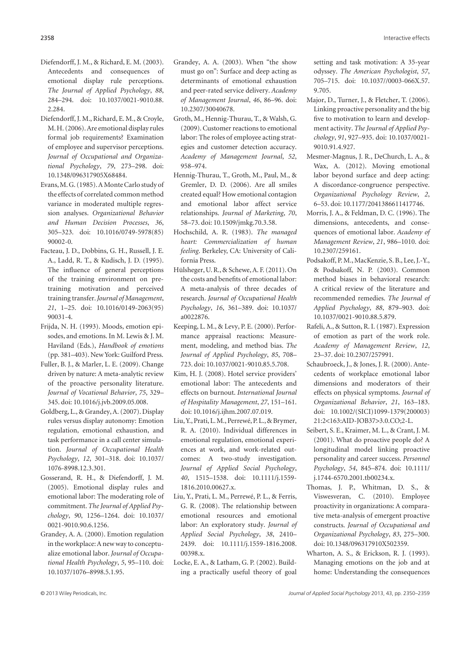- Diefendorff, J. M., & Richard, E. M. (2003). Antecedents and consequences of emotional display rule perceptions. *The Journal of Applied Psychology*, *88*, 284–294. doi: 10.1037/0021-9010.88. 2.284.
- Diefendorff, J. M., Richard, E. M., & Croyle, M.H. (2006).Are emotional display rules formal job requirements? Examination of employee and supervisor perceptions. *Journal of Occupational and Organizational Psychology*, *79*, 273–298. doi: 10.1348/096317905X68484.
- Evans,M. G. (1985).A Monte Carlo study of the effects of correlated common method variance in moderated multiple regression analyses. *Organizational Behavior and Human Decision Processes*, *36*, 305–323. doi: 10.1016/0749-5978(85) 90002-0.
- Facteau, J. D., Dobbins, G. H., Russell, J. E. A., Ladd, R. T., & Kudisch, J. D. (1995). The influence of general perceptions of the training environment on pretraining motivation and perceived training transfer.*Journal of Management*, *21*, 1–25. doi: 10.1016/0149-2063(95) 90031-4.
- Frijda, N. H. (1993). Moods, emotion episodes, and emotions. In M. Lewis & J. M. Haviland (Eds.), *Handbook of emotions* (pp. 381–403). New York: Guilford Press.
- Fuller, B. J., & Marler, L. E. (2009). Change driven by nature: A meta-analytic review of the proactive personality literature. *Journal of Vocational Behavior*, *75*, 329– 345. doi: 10.1016/j.jvb.2009.05.008.
- Goldberg, L., & Grandey, A. (2007). Display rules versus display autonomy: Emotion regulation, emotional exhaustion, and task performance in a call center simulation. *Journal of Occupational Health Psychology*, *12*, 301–318. doi: 10.1037/ 1076-8998.12.3.301.
- Gosserand, R. H., & Diefendorff, J. M. (2005). Emotional display rules and emotional labor: The moderating role of commitment. *The Journal of Applied Psychology*, *90*, 1256–1264. doi: 10.1037/ 0021-9010.90.6.1256.
- Grandey, A. A. (2000). Emotion regulation in the workplace:A new way to conceptualize emotional labor. *Journal of Occupational Health Psychology*, *5*, 95–110. doi: 10.1037/1076–8998.5.1.95.
- Grandey, A. A. (2003). When "the show must go on": Surface and deep acting as determinants of emotional exhaustion and peer-rated service delivery. *Academy of Management Journal*, *46*, 86–96. doi: 10.2307/30040678.
- Groth, M., Hennig-Thurau, T., & Walsh, G. (2009). Customer reactions to emotional labor: The roles of employee acting strategies and customer detection accuracy. *Academy of Management Journal*, *52*, 958–974.
- Hennig-Thurau, T., Groth, M., Paul, M., & Gremler, D. D. (2006). Are all smiles created equal? How emotional contagion and emotional labor affect service relationships. *Journal of Marketing*, *70*, 58–73. doi: 10.1509/jmkg.70.3.58.
- Hochschild, A. R. (1983). *The managed heart: Commercialization of human feeling*. Berkeley, CA: University of California Press.
- Hülsheger, U. R., & Schewe, A. F. (2011). On the costs and benefits of emotional labor: A meta-analysis of three decades of research. *Journal of Occupational Health Psychology*, *16*, 361–389. doi: 10.1037/ a0022876.
- Keeping, L. M., & Levy, P. E. (2000). Performance appraisal reactions: Measurement, modeling, and method bias. *The Journal of Applied Psychology*, *85*, 708– 723. doi: 10.1037/0021-9010.85.5.708.
- Kim, H. J. (2008). Hotel service providers' emotional labor: The antecedents and effects on burnout. *International Journal of Hospitality Management*, *27*, 151–161. doi: 10.1016/j.ijhm.2007.07.019.
- Liu, Y., Prati, L.M., Perrewé, P. L., & Brymer, R. A. (2010). Individual differences in emotional regulation, emotional experiences at work, and work-related outcomes: A two-study investigation. *Journal of Applied Social Psychology*, *40*, 1515–1538. doi: 10.1111/j.1559- 1816.2010.00627.x.
- Liu, Y., Prati, L. M., Perrewé, P. L., & Ferris, G. R. (2008). The relationship between emotional resources and emotional labor: An exploratory study. *Journal of Applied Social Psychology*, *38*, 2410– 2439. doi: 10.1111/j.1559-1816.2008. 00398.x.
- Locke, E. A., & Latham, G. P. (2002). Building a practically useful theory of goal

setting and task motivation: A 35-year odyssey. *The American Psychologist*, *57*, 705–715. doi: 10.1037//0003-066X.57. 9.705.

- Major, D., Turner, J., & Fletcher, T. (2006). Linking proactive personality and the big five to motivation to learn and development activity. *The Journal of Applied Psychology*, *91*, 927–935. doi: 10.1037/0021- 9010.91.4.927.
- Mesmer-Magnus, J. R., DeChurch, L. A., & Wax, A. (2012). Moving emotional labor beyond surface and deep acting: A discordance-congruence perspective. *Organizational Psychology Review*, *2*, 6–53. doi: 10.1177/2041386611417746.
- Morris, J. A., & Feldman, D. C. (1996). The dimensions, antecedents, and consequences of emotional labor. *Academy of Management Review*, *21*, 986–1010. doi: 10.2307/259161.
- Podsakoff, P.M., MacKenzie, S.B., Lee, J.-Y., & Podsakoff, N. P. (2003). Common method biases in behavioral research: A critical review of the literature and recommended remedies. *The Journal of Applied Psychology*, *88*, 879–903. doi: 10.1037/0021-9010.88.5.879.
- Rafeli, A., & Sutton, R. I. (1987). Expression of emotion as part of the work role. *Academy of Management Review*, *12*, 23–37. doi: 10.2307/257991.
- Schaubroeck, J., & Jones, J. R. (2000). Antecedents of workplace emotional labor dimensions and moderators of their effects on physical symptoms. *Journal of Organizational Behavior*, *21*, 163–183. doi: 10.1002/(SICI)1099-1379(200003) 21:2<163:AID-JOB37>3.0.CO;2-L.
- Seibert, S. E., Kraimer, M. L., & Crant, J. M. (2001). What do proactive people do? A longitudinal model linking proactive personality and career success. *Personnel Psychology*, *54*, 845–874. doi: 10.1111/ j.1744-6570.2001.tb00234.x.
- Thomas, J. P., Whitman, D. S., & Viswesveran, C. (2010). Employee proactivity in organizations: A comparative meta-analysis of emergent proactive constructs. *Journal of Occupational and Organizational Psychology*, *83*, 275–300. doi: 10.1348/096317910X502359.
- Wharton, A. S., & Erickson, R. J. (1993). Managing emotions on the job and at home: Understanding the consequences